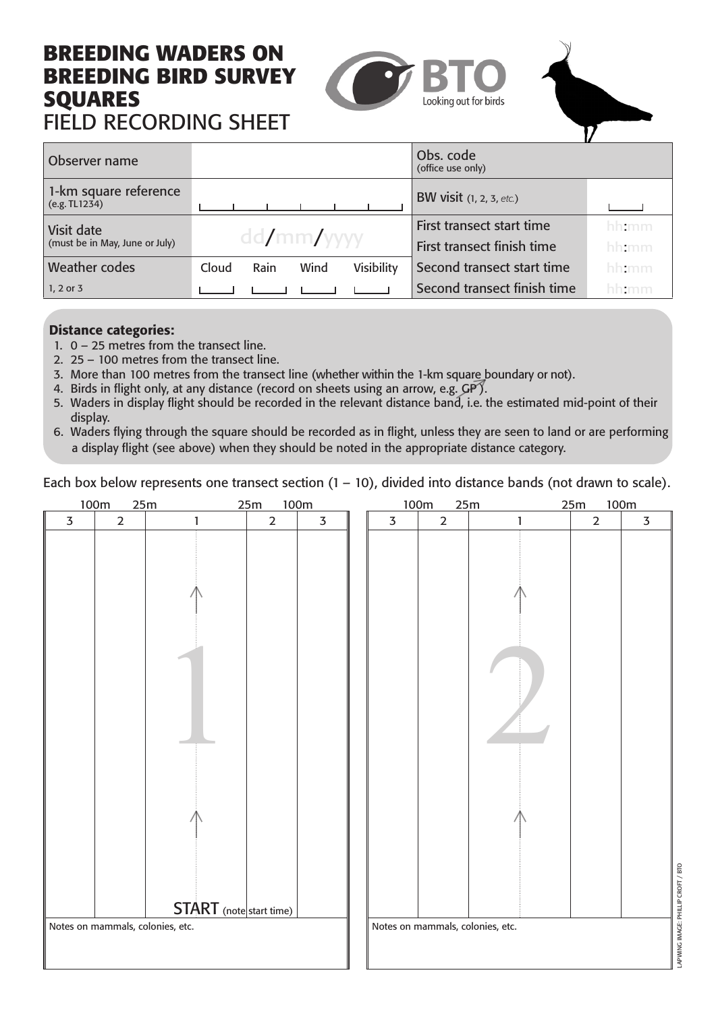### **BREEDING WADERS ON BREEDING BIRD SURVEY SQUARES** FIELD RECORDING SHEET





| Observer name                          |                                     | Obs. code<br>(office use only) |       |
|----------------------------------------|-------------------------------------|--------------------------------|-------|
| 1-km square reference<br>(e.g. TL1234) |                                     | BW visit $(1, 2, 3, etc.)$     |       |
| Visit date                             |                                     | First transect start time      | hh:mm |
| (must be in May, June or July)         | dd/mm/                              | First transect finish time     | hh:mm |
| Weather codes                          | Rain<br>Wind<br>Visibility<br>Cloud | Second transect start time     | hhtmm |
| $1, 2$ or 3                            |                                     | Second transect finish time    | hh:mm |

#### Distance categories:

- 1. 0 25 metres from the transect line.
- 2. 25 100 metres from the transect line.
- 3. More than 100 metres from the transect line (whether within the 1-km square boundary or not).
- 4. Birds in flight only, at any distance (record on sheets using an arrow, e.g.  $\mathsf{GP}$ ).
- 5. Waders in display flight should be recorded in the relevant distance band, i.e. the estimated mid-point of their display.
- 6. Waders flying through the square should be recorded as in flight, unless they are seen to land or are performing a display flight (see above) when they should be noted in the appropriate distance category.

Each box below represents one transect section  $(1 - 10)$ , divided into distance bands (not drawn to scale).

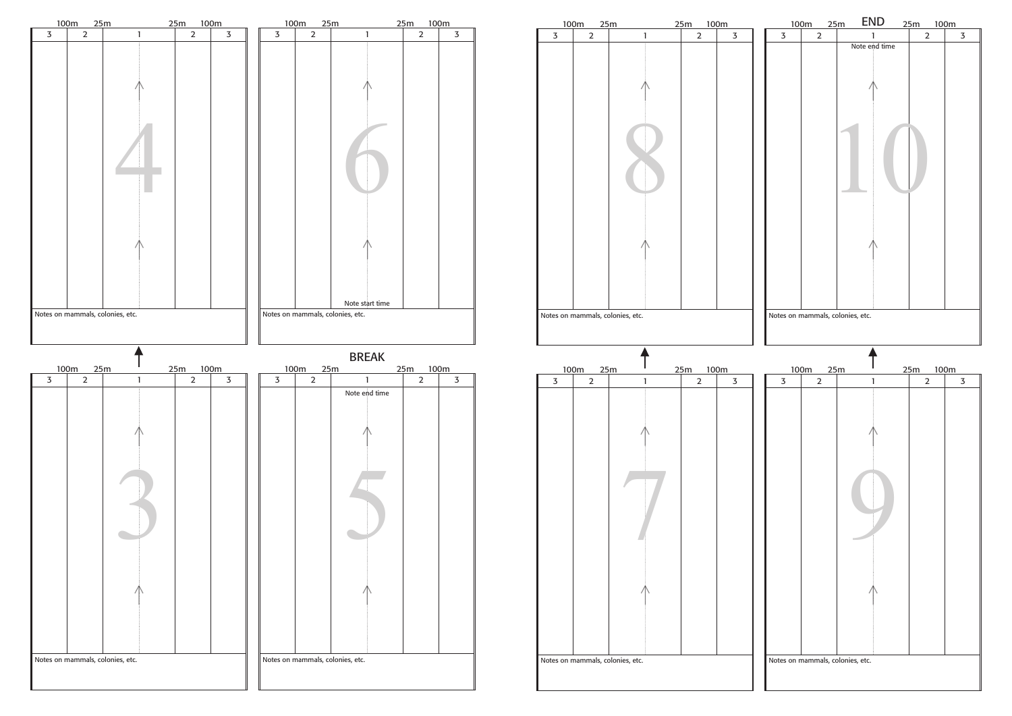